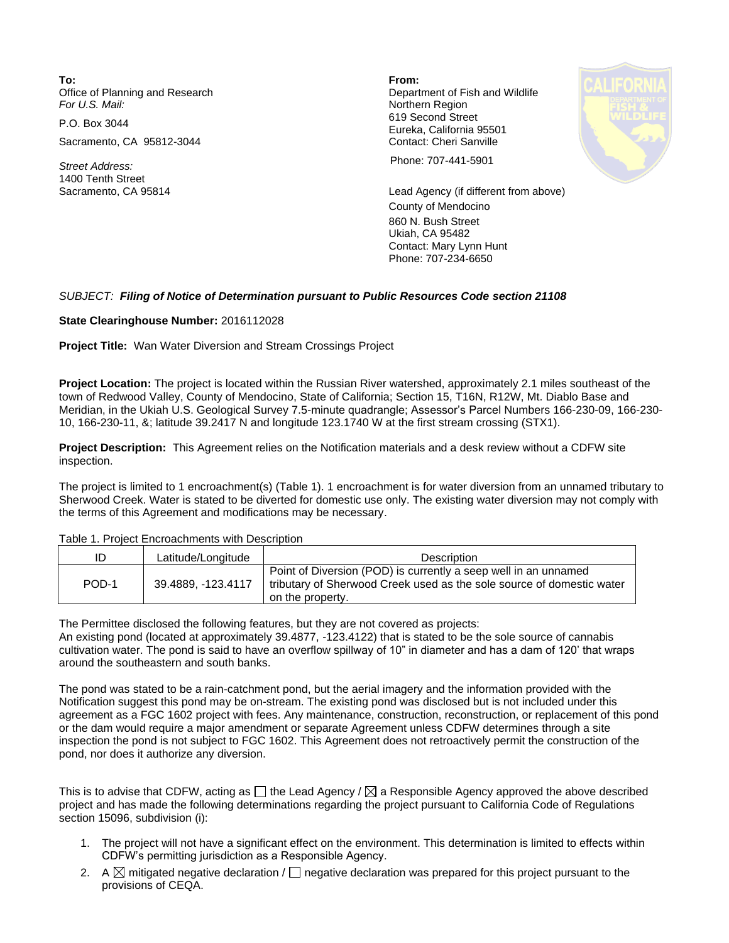**To: From:**  Office of Planning and Research **Department of Fish and Wildlife**<br>
For U.S. Mail: **Department of Fish and Wildlife** 

Sacramento, CA 95812-3044 Contact: Cheri Sanville

1400 Tenth Street

**Northern Region** P.O. Box 3044 619 Second Street Eureka, California 95501



*Street Address:* Phone: 707-441-5901

Sacramento, CA 95814 Lead Agency (if different from above) County of Mendocino 860 N. Bush Street Ukiah, CA 95482 Contact: Mary Lynn Hunt Phone: 707-234-6650

## *SUBJECT: Filing of Notice of Determination pursuant to Public Resources Code section 21108*

**State Clearinghouse Number:** 2016112028

**Project Title:** Wan Water Diversion and Stream Crossings Project

**Project Location:** The project is located within the Russian River watershed, approximately 2.1 miles southeast of the town of Redwood Valley, County of Mendocino, State of California; Section 15, T16N, R12W, Mt. Diablo Base and Meridian, in the Ukiah U.S. Geological Survey 7.5-minute quadrangle; Assessor's Parcel Numbers 166-230-09, 166-230- 10, 166-230-11, &; latitude 39.2417 N and longitude 123.1740 W at the first stream crossing (STX1).

**Project Description:** This Agreement relies on the Notification materials and a desk review without a CDFW site inspection.

The project is limited to 1 encroachment(s) (Table 1). 1 encroachment is for water diversion from an unnamed tributary to Sherwood Creek. Water is stated to be diverted for domestic use only. The existing water diversion may not comply with the terms of this Agreement and modifications may be necessary.

Table 1. Project Encroachments with Description

| ID    | Latitude/Longitude | <b>Description</b>                                                                                                                                           |
|-------|--------------------|--------------------------------------------------------------------------------------------------------------------------------------------------------------|
| POD-1 | 39.4889. -123.4117 | Point of Diversion (POD) is currently a seep well in an unnamed<br>tributary of Sherwood Creek used as the sole source of domestic water<br>on the property. |

The Permittee disclosed the following features, but they are not covered as projects:

An existing pond (located at approximately 39.4877, -123.4122) that is stated to be the sole source of cannabis cultivation water. The pond is said to have an overflow spillway of 10" in diameter and has a dam of 120' that wraps around the southeastern and south banks.

The pond was stated to be a rain-catchment pond, but the aerial imagery and the information provided with the Notification suggest this pond may be on-stream. The existing pond was disclosed but is not included under this agreement as a FGC 1602 project with fees. Any maintenance, construction, reconstruction, or replacement of this pond or the dam would require a major amendment or separate Agreement unless CDFW determines through a site inspection the pond is not subject to FGC 1602. This Agreement does not retroactively permit the construction of the pond, nor does it authorize any diversion.

This is to advise that CDFW, acting as  $\Box$  the Lead Agency /  $\boxtimes$  a Responsible Agency approved the above described project and has made the following determinations regarding the project pursuant to California Code of Regulations section 15096, subdivision (i):

- 1. The project will not have a significant effect on the environment. This determination is limited to effects within CDFW's permitting jurisdiction as a Responsible Agency.
- 2. A  $\boxtimes$  mitigated negative declaration /  $\Box$  negative declaration was prepared for this project pursuant to the provisions of CEQA.